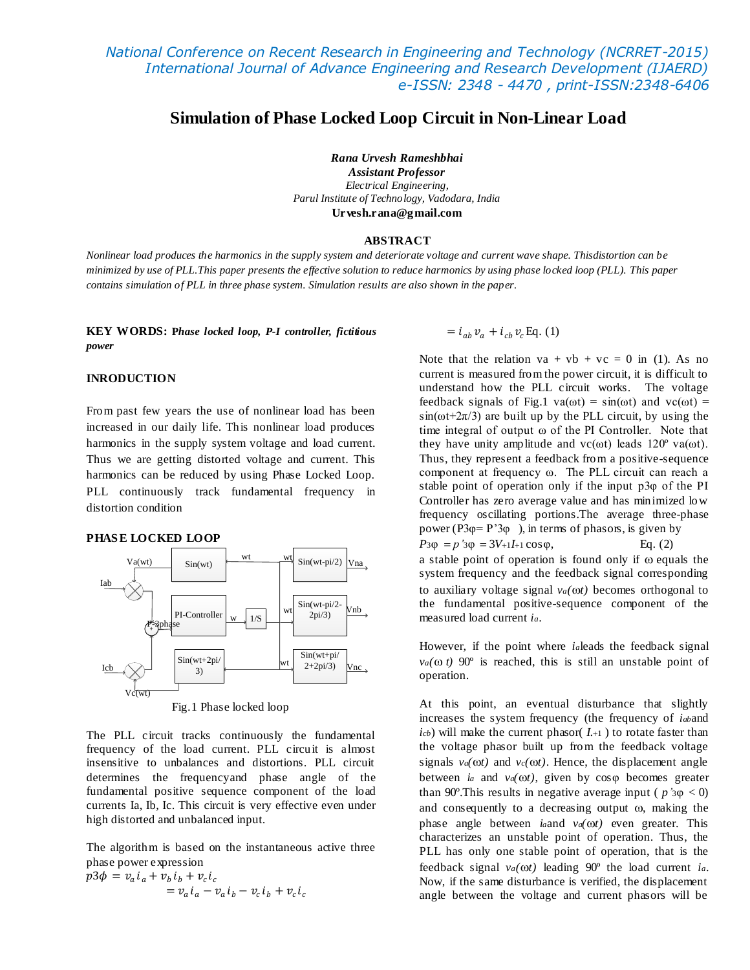# **Simulation of Phase Locked Loop Circuit in Non-Linear Load**

*Rana Urvesh Rameshbhai*

*Assistant Professor Electrical Engineering, Parul Institute of Technology, Vadodara, India* **Urvesh.rana@gmail.com**

### **ABSTRACT**

*Nonlinear load produces the harmonics in the supply system and deteriorate voltage and current wave shape. Thisdistortion can be minimized by use of PLL.This paper presents the effective solution to reduce harmonics by using phase locked loop (PLL). This paper contains simulation of PLL in three phase system. Simulation results are also shown in the paper.*

**KEY WORDS: P***hase locked loop, P-I controller, fictitious power*

### **INRODUCTION**

From past few years the use of nonlinear load has been increased in our daily life. This nonlinear load produces harmonics in the supply system voltage and load current. Thus we are getting distorted voltage and current. This harmonics can be reduced by using Phase Locked Loop. PLL continuously track fundamental frequency in distortion condition

### **PHAS E LOCKED LOOP**



The PLL circuit tracks continuously the fundamental frequency of the load current. PLL circuit is almost insensitive to unbalances and distortions. PLL circuit determines the frequencyand phase angle of the fundamental positive sequence component of the load currents Ia, Ib, Ic. This circuit is very effective even under high distorted and unbalanced input.

The algorithm is based on the instantaneous active three phase power expression

$$
p3\phi = v_a i_a + v_b i_b + v_c i_c
$$
  
= 
$$
v_a i_a - v_a i_b - v_c i_b + v_c i_c
$$

 $= i_{ab} v_a + i_{cb} v_c$  Eq. (1)

Note that the relation  $va + vb + vc = 0$  in (1). As no current is measured from the power circuit, it is difficult to understand how the PLL circuit works. The voltage feedback signals of Fig.1 va( $\omega$ t) = sin( $\omega$ t) and vc( $\omega$ t) =  $sin(\omega t + 2\pi/3)$  are built up by the PLL circuit, by using the time integral of output ω of the PI Controller. Note that they have unity amplitude and  $vc(\omega t)$  leads 120<sup>°</sup> va( $\omega t$ ). Thus, they represent a feedback from a positive-sequence component at frequency ω. The PLL circuit can reach a stable point of operation only if the input p3φ of the PI Controller has zero average value and has minimized low frequency oscillating portions.The average three-phase power (P3 $\varphi$ = P'3 $\varphi$ ), in terms of phasors, is given by  $P_3\varphi = p'_3\varphi = 3V_{+1}I_{+1}\cos\varphi$ , Eq. (2) a stable point of operation is found only if  $\omega$  equals the system frequency and the feedback signal corresponding to auxiliary voltage signal  $v_a(\omega t)$  becomes orthogonal to the fundamental positive-sequence component of the measured load current *ia*.

However, if the point where *ia*leads the feedback signal  $v_a(\omega t)$  90° is reached, this is still an unstable point of operation.

At this point, an eventual disturbance that slightly increases the system frequency (the frequency of *iab*and  $i$ <sup>*cb*</sup>) will make the current phasor(  $I$ <sub>*+1*</sub>) to rotate faster than the voltage phasor built up from the feedback voltage signals  $v_a(\omega t)$  and  $v_c(\omega t)$ . Hence, the displacement angle between *i<sup>a</sup>* and *va(t)*, given by cosφ becomes greater than 90°. This results in negative average input ( $p \text{'s} \varphi < 0$ ) and consequently to a decreasing output  $\omega$ , making the phase angle between *i*<sub>*a*</sub>and  $v_a(0)t$  even greater. This characterizes an unstable point of operation. Thus, the PLL has only one stable point of operation, that is the feedback signal *va(t)* leading 90º the load current *ia*. Now, if the same disturbance is verified, the displacement angle between the voltage and current phasors will be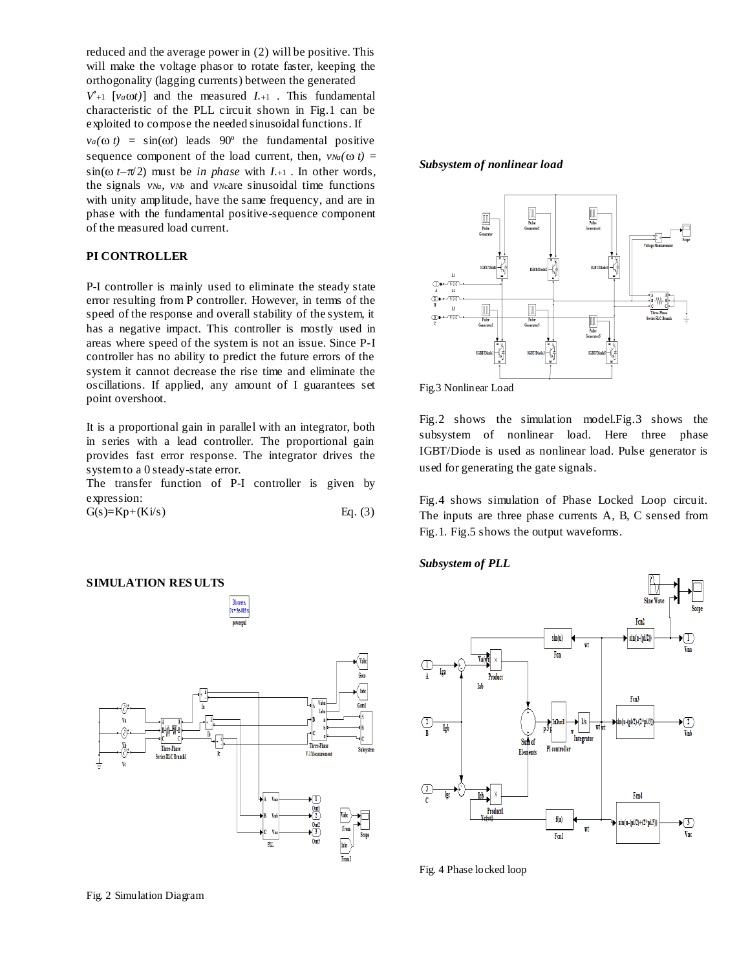reduced and the average power in (2) will be positive. This will make the voltage phasor to rotate faster, keeping the orthogonality (lagging currents) between the generated  $V_{+1}$  [ $v_a \omega t$ ] and the measured *I*.<sup>1</sup> . This fundamental characteristic of the PLL circuit shown in Fig.1 can be exploited to compose the needed sinusoidal functions. If  $v_a(\omega t) = \sin(\omega t)$  leads 90° the fundamental positive sequence component of the load current, then,  $v_{Na}(\omega t)$  =  $\sin(\omega t-\pi/2)$  must be *in phase* with *I*.+1. In other words, the signals *vNa*, *vNb* and *vNc*are sinusoidal time functions with unity amplitude, have the same frequency, and are in phase with the fundamental positive-sequence component of the measured load current.

# **PI CONTROLLER**

P-I controller is mainly used to eliminate the steady state error resulting from P controller. However, in terms of the speed of the response and overall stability of the system, it has a negative impact. This controller is mostly used in areas where speed of the system is not an issue. Since P-I controller has no ability to predict the future errors of the system it cannot decrease the rise time and eliminate the oscillations. If applied, any amount of I guarantees set point overshoot.

It is a proportional gain in parallel with an integrator, both in series with a lead controller. The proportional gain provides fast error response. The integrator drives the system to a 0 steady-state error.

The transfer function of P-I controller is given by expression:

 $G(s)=Kp+(Ki/s)$  Eq. (3)

### **SIMULATION RES ULTS**



#### *Subsystem of nonlinear load*





Fig.2 shows the simulation model.Fig.3 shows the subsystem of nonlinear load. Here three phase IGBT/Diode is used as nonlinear load. Pulse generator is used for generating the gate signals.

Fig.4 shows simulation of Phase Locked Loop circuit. The inputs are three phase currents A, B, C sensed from Fig.1. Fig.5 shows the output waveforms.

### *Subsystem of PLL*



Fig. 4 Phase locked loop